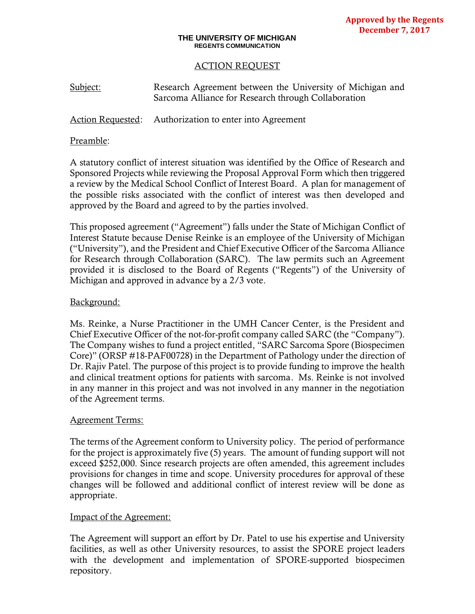### **THE UNIVERSITY OF MICHIGAN REGENTS COMMUNICATION**

# ACTION REQUEST

Subject: Research Agreement between the University of Michigan and Sarcoma Alliance for Research through Collaboration

Action Requested: Authorization to enter into Agreement

### Preamble:

A statutory conflict of interest situation was identified by the Office of Research and Sponsored Projects while reviewing the Proposal Approval Form which then triggered a review by the Medical School Conflict of Interest Board. A plan for management of the possible risks associated with the conflict of interest was then developed and approved by the Board and agreed to by the parties involved.

This proposed agreement ("Agreement") falls under the State of Michigan Conflict of Interest Statute because Denise Reinke is an employee of the University of Michigan ("University"), and the President and Chief Executive Officer of the Sarcoma Alliance for Research through Collaboration (SARC). The law permits such an Agreement provided it is disclosed to the Board of Regents ("Regents") of the University of Michigan and approved in advance by a 2/3 vote.

# Background:

Ms. Reinke, a Nurse Practitioner in the UMH Cancer Center, is the President and Chief Executive Officer of the not-for-profit company called SARC (the "Company"). The Company wishes to fund a project entitled, "SARC Sarcoma Spore (Biospecimen Core)" (ORSP #18-PAF00728) in the Department of Pathology under the direction of Dr. Rajiv Patel. The purpose of this project is to provide funding to improve the health and clinical treatment options for patients with sarcoma. Ms. Reinke is not involved in any manner in this project and was not involved in any manner in the negotiation of the Agreement terms.

# Agreement Terms:

The terms of the Agreement conform to University policy. The period of performance for the project is approximately five (5) years. The amount of funding support will not exceed \$252,000. Since research projects are often amended, this agreement includes provisions for changes in time and scope. University procedures for approval of these changes will be followed and additional conflict of interest review will be done as appropriate.

# Impact of the Agreement:

The Agreement will support an effort by Dr. Patel to use his expertise and University facilities, as well as other University resources, to assist the SPORE project leaders with the development and implementation of SPORE-supported biospecimen repository.